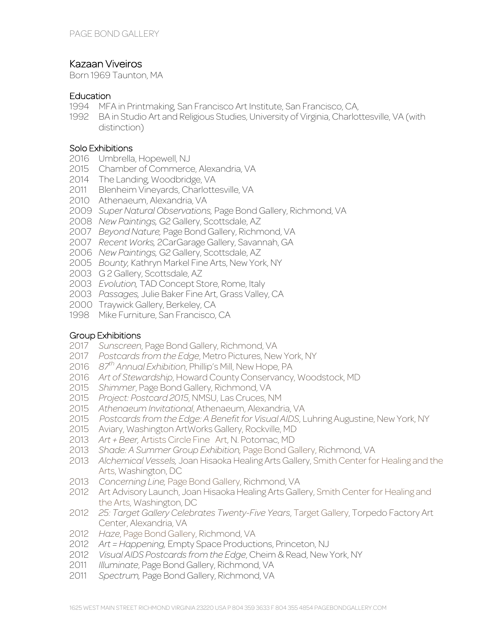# Kazaan Viveiros

Born 1969 Taunton, MA

#### **Education**

- MFA in Printmaking, San Francisco Art Institute, San Francisco, CA,
- BA in Studio Art and Religious Studies, University of Virginia, Charlottesville, VA (with distinction)

### Solo Exhibitions

- Umbrella, Hopewell, NJ
- Chamber of Commerce, Alexandria, VA
- The Landing, Woodbridge, VA
- Blenheim Vineyards, Charlottesville, VA
- Athenaeum, Alexandria, VA
- *Super Natural Observations,* Page Bond Gallery, Richmond, VA
- *New Paintings,* G2 Gallery, Scottsdale, AZ
- *Beyond Nature,* Page Bond Gallery, Richmond, VA
- *Recent Works,* 2CarGarage Gallery, Savannah, GA
- *New Paintings,* G2 Gallery, Scottsdale, AZ
- *Bounty,* Kathryn Markel Fine Arts, New York, NY
- 2003 G 2 Gallery, Scottsdale, AZ
- *Evolution,* TAD Concept Store, Rome, Italy
- *Passages,* Julie Baker Fine Art, Grass Valley, CA
- Traywick Gallery, Berkeley, CA
- 1998 Mike Furniture, San Francisco, CA

### Group Exhibitions

- *Sunscreen*, Page Bond Gallery, Richmond, VA
- *Postcards from the Edge*, Metro Pictures, New York, NY
- *87th Annual Exhibition*, Phillip's Mill, New Hope, PA
- *Art of Stewardship*, Howard County Conservancy, Woodstock, MD
- *Shimmer*, Page Bond Gallery, Richmond, VA
- *Project: Postcard 2015*, NMSU, Las Cruces, NM
- *Athenaeum Invitational*, Athenaeum, Alexandria, VA
- *Postcards from the Edge: A Benefit for Visual AIDS*, Luhring Augustine, New York, NY
- Aviary, Washington ArtWorks Gallery, Rockville, MD
- *Art + Beer,* Artists Circle Fine Art, N. Potomac, MD
- *Shade: A Summer Group Exhibition,* Page Bond Gallery, Richmond, VA
- *Alchemical Vessels,* Joan Hisaoka Healing Arts Gallery, Smith Center for Healing and the Arts, Washington, DC
- *Concerning Line,* Page Bond Gallery, Richmond, VA
- Art Advisory Launch, Joan Hisaoka Healing Arts Gallery, Smith Center for Healing and the Arts, Washington, DC
- *25: Target Gallery Celebrates Twenty-Five Years*, Target Gallery, Torpedo Factory Art Center, Alexandria, VA
- *Haze*, Page Bond Gallery, Richmond, VA
- *Art = Happening,* Empty Space Productions, Princeton, NJ
- *Visual AIDS Postcards from the Edge*, Cheim & Read, New York, NY
- *Illuminate*, Page Bond Gallery, Richmond, VA
- *Spectrum,* Page Bond Gallery, Richmond, VA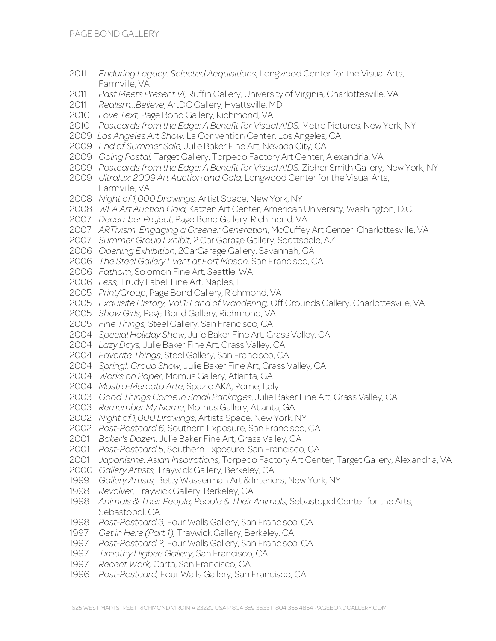- *Enduring Legacy: Selected Acquisitions*, Longwood Center for the Visual Arts, Farmville, VA
- *Past Meets Present VI,* Ruffin Gallery, University of Virginia, Charlottesville, VA
- *Realism…Believe*, ArtDC Gallery, Hyattsville, MD
- *Love Text,* Page Bond Gallery, Richmond, VA
- *Postcards from the Edge: A Benefit for Visual AIDS,* Metro Pictures, New York, NY
- *Los Angeles Art Show,* La Convention Center, Los Angeles, CA
- *End of Summer Sale,* Julie Baker Fine Art, Nevada City, CA
- *Going Postal,* Target Gallery, Torpedo Factory Art Center, Alexandria, VA
- *Postcards from the Edge: A Benefit for Visual AIDS,* Zieher Smith Gallery, New York, NY
- *Ultralux: 2009 Art Auction and Gala,* Longwood Center for the Visual Arts, Farmville, VA
- *Night of 1,000 Drawings,* Artist Space, New York, NY
- *WPA Art Auction Gala,* Katzen Art Center, American University, Washington, D.C.
- *December Project*, Page Bond Gallery, Richmond, VA
- *ARTivism: Engaging a Greener Generation*, McGuffey Art Center, Charlottesville, VA
- *Summer Group Exhibit*, 2 Car Garage Gallery, Scottsdale, AZ
- *Opening Exhibition*, 2CarGarage Gallery, Savannah, GA
- *The Steel Gallery Event at Fort Mason,* San Francisco, CA
- *Fathom*, Solomon Fine Art, Seattle, WA
- *Less,* Trudy Labell Fine Art, Naples, FL
- *Print/Group*, Page Bond Gallery, Richmond, VA
- *Exquisite History, Vol.1: Land of Wandering,* Off Grounds Gallery, Charlottesville, VA
- *Show Girls,* Page Bond Gallery, Richmond, VA
- *Fine Things,* Steel Gallery, San Francisco, CA
- *Special Holiday Show*, Julie Baker Fine Art, Grass Valley, CA
- *Lazy Days,* Julie Baker Fine Art, Grass Valley, CA
- *Favorite Things*, Steel Gallery, San Francisco, CA
- *Spring!: Group Show*, Julie Baker Fine Art, Grass Valley, CA
- *Works on Paper*, Momus Gallery, Atlanta, GA
- *Mostra-Mercato Arte*, Spazio AKA, Rome, Italy
- *Good Things Come in Small Packages*, Julie Baker Fine Art, Grass Valley, CA
- *Remember My Name*, Momus Gallery, Atlanta, GA
- *Night of 1,000 Drawings*, Artists Space, New York, NY
- *Post-Postcard 6*, Southern Exposure, San Francisco, CA
- *Baker's Dozen*, Julie Baker Fine Art, Grass Valley, CA
- *Post-Postcard 5*, Southern Exposure, San Francisco, CA
- *Japonisme: Asian Inspirations*, Torpedo Factory Art Center, Target Gallery, Alexandria, VA
- *Gallery Artists,* Traywick Gallery, Berkeley, CA
- *Gallery Artists,* Betty Wasserman Art & Interiors, New York, NY
- *Revolver*, Traywick Gallery, Berkeley, CA
- *Animals & Their People, People & Their Animals*, Sebastopol Center for the Arts, Sebastopol, CA
- *Post-Postcard 3,* Four Walls Gallery, San Francisco, CA
- *Get in Here (Part 1),* Traywick Gallery, Berkeley, CA
- *Post-Postcard 2,* Four Walls Gallery, San Francisco, CA
- *Timothy Higbee Gallery*, San Francisco, CA
- *Recent Work,* Carta, San Francisco, CA
- *Post-Postcard,* Four Walls Gallery, San Francisco, CA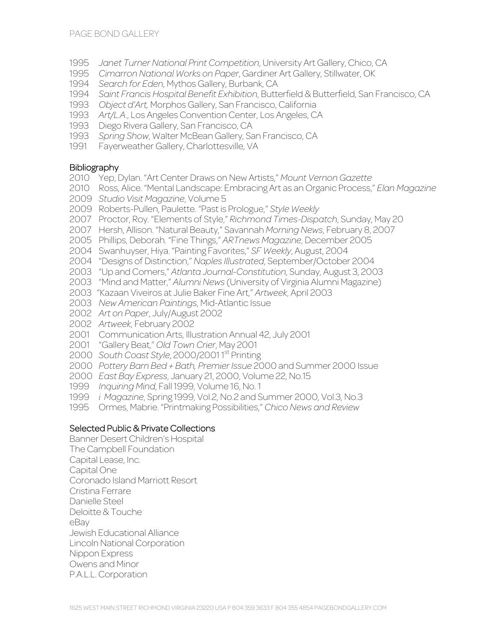- *Janet Turner National Print Competition*, University Art Gallery, Chico, CA
- *Cimarron National Works on Paper*, Gardiner Art Gallery, Stillwater, OK
- *Search for Eden*, Mythos Gallery, Burbank, CA
- *Saint Francis Hospital Benefit Exhibition*, Butterfield & Butterfield, San Francisco, CA
- *Object d'Art,* Morphos Gallery, San Francisco, California
- *Art/L.A*., Los Angeles Convention Center, Los Angeles, CA
- Diego Rivera Gallery, San Francisco, CA
- *Spring Show*, Walter McBean Gallery, San Francisco, CA
- Fayerweather Gallery, Charlottesville, VA

## **Bibliography**

- Yep, Dylan. "Art Center Draws on New Artists," *Mount Vernon Gazette*
- Ross, Alice. "Mental Landscape: Embracing Art as an Organic Process," *Elan Magazine*
- *Studio Visit Magazine*, Volume 5
- Roberts-Pullen, Paulette. "Past is Prologue," *Style Weekly*
- Proctor, Roy. "Elements of Style," *Richmond Times-Dispatch*, Sunday, May 20
- Hersh, Allison. "Natural Beauty," Savannah *Morning News*, February 8, 2007
- Phillips, Deborah*.* "Fine Things," *ARTnews Magazine*, December 2005
- Swanhuyser, Hiya. "Painting Favorites," *SF Weekly*, August, 2004
- "Designs of Distinction," *Naples Illustrated*, September/October 2004
- "Up and Comers," *Atlanta Journal-Constitution*, Sunday, August 3, 2003
- "Mind and Matter," *Alumni News* (University of Virginia Alumni Magazine)
- 2003 "Kazaan Viveiros at Julie Baker Fine Art," *Artweek*, April 2003
- *New American Paintings*, Mid-Atlantic Issue
- *Art on Paper*, July/August 2002
- *Artweek*, February 2002
- Communication Arts, Illustration Annual 42, July 2001
- "Gallery Beat," *Old Town Crier*, May 2001
- *South Coast Style*, 2000/2001 1st Printing
- *Pottery Barn Bed + Bath, Premier Issue* 2000 and Summer 2000 Issue
- *East Bay Express*, January 21, 2000, Volume 22, No.15
- *Inquiring Mind*, Fall 1999, Volume 16, No. 1
- *i Magazine*, Spring 1999, Vol.2, No.2 and Summer 2000, Vol.3, No.3
- Ormes, Mabrie. "Printmaking Possibilities," *Chico News and Review*

## Selected Public & Private Collections

Banner Desert Children's Hospital The Campbell Foundation Capital Lease, Inc. Capital One Coronado Island Marriott Resort Cristina Ferrare Danielle Steel Deloitte & Touche eBay Jewish Educational Alliance Lincoln National Corporation Nippon Express Owens and Minor P.A.L.L. Corporation